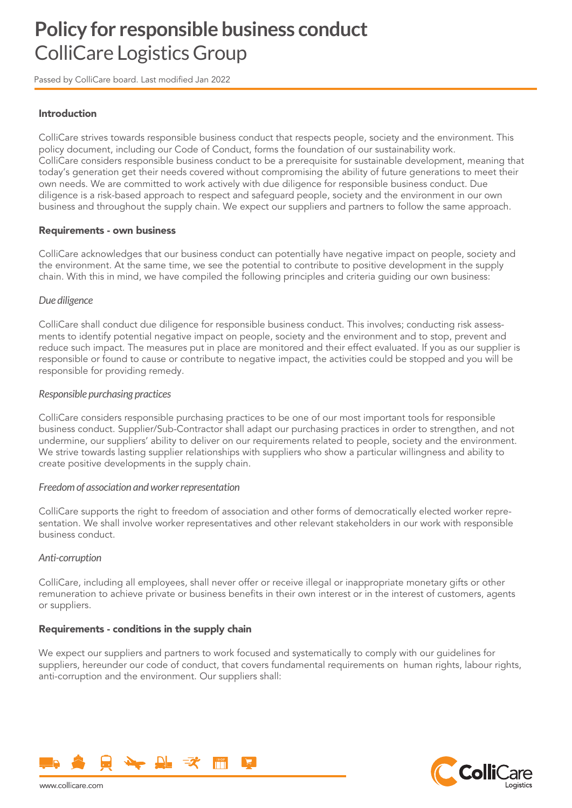# **Policy for responsible business conduct**  ColliCare Logistics Group

Passed by ColliCare board. Last modified Jan 2022

## Introduction

ColliCare strives towards responsible business conduct that respects people, society and the environment. This policy document, including our Code of Conduct, forms the foundation of our sustainability work. ColliCare considers responsible business conduct to be a prerequisite for sustainable development, meaning that today's generation get their needs covered without compromising the ability of future generations to meet their own needs. We are committed to work actively with due diligence for responsible business conduct. Due diligence is a risk-based approach to respect and safeguard people, society and the environment in our own business and throughout the supply chain. We expect our suppliers and partners to follow the same approach.

#### Requirements - own business

ColliCare acknowledges that our business conduct can potentially have negative impact on people, society and the environment. At the same time, we see the potential to contribute to positive development in the supply chain. With this in mind, we have compiled the following principles and criteria guiding our own business:

#### *Due diligence*

ColliCare shall conduct due diligence for responsible business conduct. This involves; conducting risk assessments to identify potential negative impact on people, society and the environment and to stop, prevent and reduce such impact. The measures put in place are monitored and their effect evaluated. If you as our supplier is responsible or found to cause or contribute to negative impact, the activities could be stopped and you will be responsible for providing remedy.

#### *Responsible purchasing practices*

ColliCare considers responsible purchasing practices to be one of our most important tools for responsible business conduct. Supplier/Sub-Contractor shall adapt our purchasing practices in order to strengthen, and not undermine, our suppliers' ability to deliver on our requirements related to people, society and the environment. We strive towards lasting supplier relationships with suppliers who show a particular willingness and ability to create positive developments in the supply chain.

#### *Freedom of association and worker representation*

ColliCare supports the right to freedom of association and other forms of democratically elected worker representation. We shall involve worker representatives and other relevant stakeholders in our work with responsible business conduct.

#### *Anti-corruption*

ColliCare, including all employees, shall never offer or receive illegal or inappropriate monetary gifts or other remuneration to achieve private or business benefits in their own interest or in the interest of customers, agents or suppliers.

#### Requirements - conditions in the supply chain

We expect our suppliers and partners to work focused and systematically to comply with our quidelines for suppliers, hereunder our code of conduct, that covers fundamental requirements on human rights, labour rights, anti-corruption and the environment. Our suppliers shall:



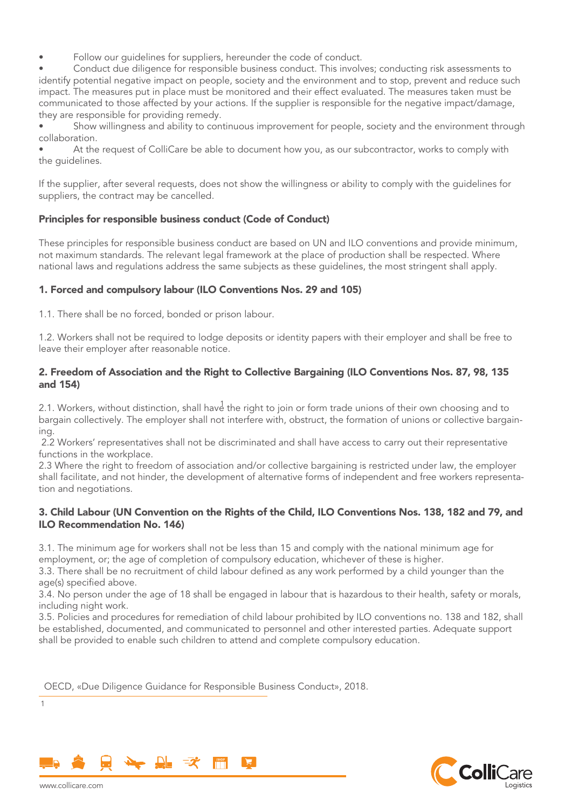Follow our guidelines for suppliers, hereunder the code of conduct.

• Conduct due diligence for responsible business conduct. This involves; conducting risk assessments to identify potential negative impact on people, society and the environment and to stop, prevent and reduce such impact. The measures put in place must be monitored and their effect evaluated. The measures taken must be communicated to those affected by your actions. If the supplier is responsible for the negative impact/damage, they are responsible for providing remedy.

Show willingness and ability to continuous improvement for people, society and the environment through collaboration.

• At the request of ColliCare be able to document how you, as our subcontractor, works to comply with the guidelines.

If the supplier, after several requests, does not show the willingness or ability to comply with the guidelines for suppliers, the contract may be cancelled.

## Principles for responsible business conduct (Code of Conduct)

These principles for responsible business conduct are based on UN and ILO conventions and provide minimum, not maximum standards. The relevant legal framework at the place of production shall be respected. Where national laws and regulations address the same subjects as these guidelines, the most stringent shall apply.

## 1. Forced and compulsory labour (ILO Conventions Nos. 29 and 105)

1.1. There shall be no forced, bonded or prison labour.

1.2. Workers shall not be required to lodge deposits or identity papers with their employer and shall be free to leave their employer after reasonable notice.

# 2. Freedom of Association and the Right to Collective Bargaining (ILO Conventions Nos. 87, 98, 135 and 154)

2.1. Workers, without distinction, shall hav $\stackrel{1}{\circ}$  the right to join or form trade unions of their own choosing and to bargain collectively. The employer shall not interfere with, obstruct, the formation of unions or collective bargaining.

 2.2 Workers' representatives shall not be discriminated and shall have access to carry out their representative functions in the workplace.

2.3 Where the right to freedom of association and/or collective bargaining is restricted under law, the employer shall facilitate, and not hinder, the development of alternative forms of independent and free workers representation and negotiations.

## 3. Child Labour (UN Convention on the Rights of the Child, ILO Conventions Nos. 138, 182 and 79, and ILO Recommendation No. 146)

3.1. The minimum age for workers shall not be less than 15 and comply with the national minimum age for employment, or; the age of completion of compulsory education, whichever of these is higher.

3.3. There shall be no recruitment of child labour defined as any work performed by a child younger than the age(s) specified above.

3.4. No person under the age of 18 shall be engaged in labour that is hazardous to their health, safety or morals, including night work.

3.5. Policies and procedures for remediation of child labour prohibited by ILO conventions no. 138 and 182, shall be established, documented, and communicated to personnel and other interested parties. Adequate support shall be provided to enable such children to attend and complete compulsory education.

OECD, «Due Diligence Guidance for Responsible Business Conduct», 2018.





www.collicare.com

1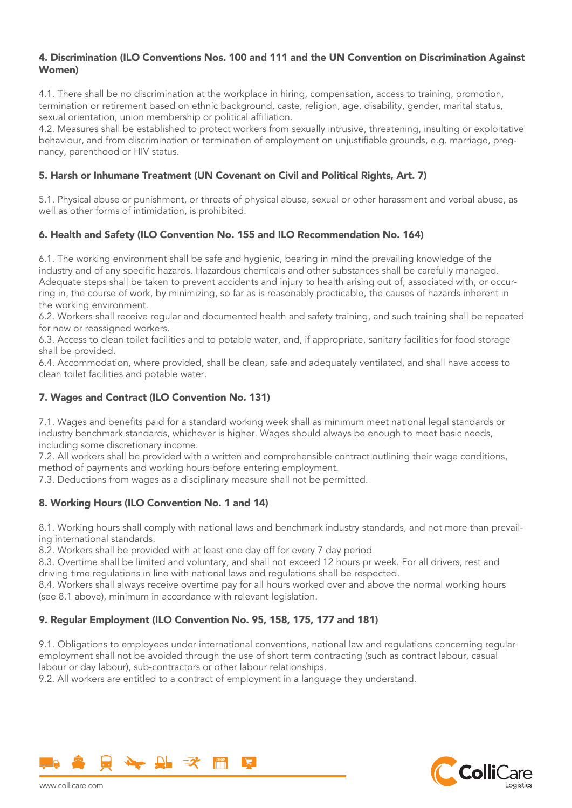# 4. Discrimination (ILO Conventions Nos. 100 and 111 and the UN Convention on Discrimination Against Women)

4.1. There shall be no discrimination at the workplace in hiring, compensation, access to training, promotion, termination or retirement based on ethnic background, caste, religion, age, disability, gender, marital status, sexual orientation, union membership or political affiliation.

4.2. Measures shall be established to protect workers from sexually intrusive, threatening, insulting or exploitative behaviour, and from discrimination or termination of employment on unjustifiable grounds, e.g. marriage, pregnancy, parenthood or HIV status.

# 5. Harsh or Inhumane Treatment (UN Covenant on Civil and Political Rights, Art. 7)

5.1. Physical abuse or punishment, or threats of physical abuse, sexual or other harassment and verbal abuse, as well as other forms of intimidation, is prohibited.

# 6. Health and Safety (ILO Convention No. 155 and ILO Recommendation No. 164)

6.1. The working environment shall be safe and hygienic, bearing in mind the prevailing knowledge of the industry and of any specific hazards. Hazardous chemicals and other substances shall be carefully managed. Adequate steps shall be taken to prevent accidents and injury to health arising out of, associated with, or occurring in, the course of work, by minimizing, so far as is reasonably practicable, the causes of hazards inherent in the working environment.

6.2. Workers shall receive regular and documented health and safety training, and such training shall be repeated for new or reassigned workers.

6.3. Access to clean toilet facilities and to potable water, and, if appropriate, sanitary facilities for food storage shall be provided.

6.4. Accommodation, where provided, shall be clean, safe and adequately ventilated, and shall have access to clean toilet facilities and potable water.

# 7. Wages and Contract (ILO Convention No. 131)

7.1. Wages and benefits paid for a standard working week shall as minimum meet national legal standards or industry benchmark standards, whichever is higher. Wages should always be enough to meet basic needs, including some discretionary income.

7.2. All workers shall be provided with a written and comprehensible contract outlining their wage conditions, method of payments and working hours before entering employment.

7.3. Deductions from wages as a disciplinary measure shall not be permitted.

# 8. Working Hours (ILO Convention No. 1 and 14)

8.1. Working hours shall comply with national laws and benchmark industry standards, and not more than prevailing international standards.

8.2. Workers shall be provided with at least one day off for every 7 day period

8.3. Overtime shall be limited and voluntary, and shall not exceed 12 hours pr week. For all drivers, rest and driving time regulations in line with national laws and regulations shall be respected.

8.4. Workers shall always receive overtime pay for all hours worked over and above the normal working hours (see 8.1 above), minimum in accordance with relevant legislation.

# 9. Regular Employment (ILO Convention No. 95, 158, 175, 177 and 181)

9.1. Obligations to employees under international conventions, national law and regulations concerning regular employment shall not be avoided through the use of short term contracting (such as contract labour, casual labour or day labour), sub-contractors or other labour relationships.

9.2. All workers are entitled to a contract of employment in a language they understand.